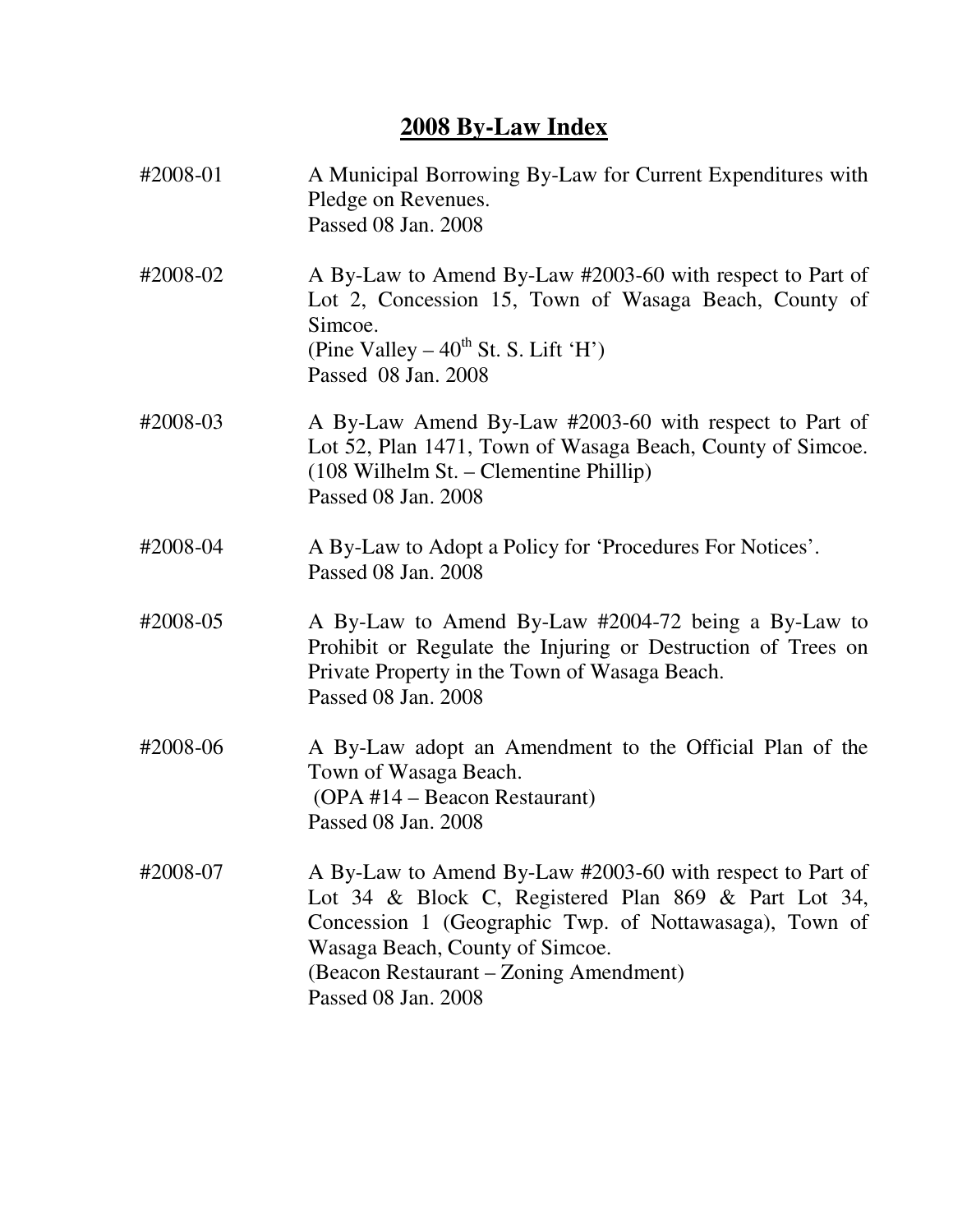# **2008 By-Law Index**

| #2008-01 | A Municipal Borrowing By-Law for Current Expenditures with<br>Pledge on Revenues.<br>Passed 08 Jan. 2008                                                                                                                                                                        |
|----------|---------------------------------------------------------------------------------------------------------------------------------------------------------------------------------------------------------------------------------------------------------------------------------|
| #2008-02 | A By-Law to Amend By-Law #2003-60 with respect to Part of<br>Lot 2, Concession 15, Town of Wasaga Beach, County of<br>Simcoe.<br>(Pine Valley $-40^{th}$ St. S. Lift 'H')<br>Passed 08 Jan. 2008                                                                                |
| #2008-03 | A By-Law Amend By-Law #2003-60 with respect to Part of<br>Lot 52, Plan 1471, Town of Wasaga Beach, County of Simcoe.<br>$(108 \text{ Wilhelm St.} - \text{Clementine Philip})$<br>Passed 08 Jan. 2008                                                                           |
| #2008-04 | A By-Law to Adopt a Policy for 'Procedures For Notices'.<br>Passed 08 Jan. 2008                                                                                                                                                                                                 |
| #2008-05 | A By-Law to Amend By-Law #2004-72 being a By-Law to<br>Prohibit or Regulate the Injuring or Destruction of Trees on<br>Private Property in the Town of Wasaga Beach.<br>Passed 08 Jan. 2008                                                                                     |
| #2008-06 | A By-Law adopt an Amendment to the Official Plan of the<br>Town of Wasaga Beach.<br>(OPA #14 – Beacon Restaurant)<br>Passed 08 Jan. 2008                                                                                                                                        |
| #2008-07 | A By-Law to Amend By-Law #2003-60 with respect to Part of<br>Lot 34 & Block C, Registered Plan 869 & Part Lot 34,<br>Concession 1 (Geographic Twp. of Nottawasaga), Town of<br>Wasaga Beach, County of Simcoe.<br>(Beacon Restaurant – Zoning Amendment)<br>Passed 08 Jan. 2008 |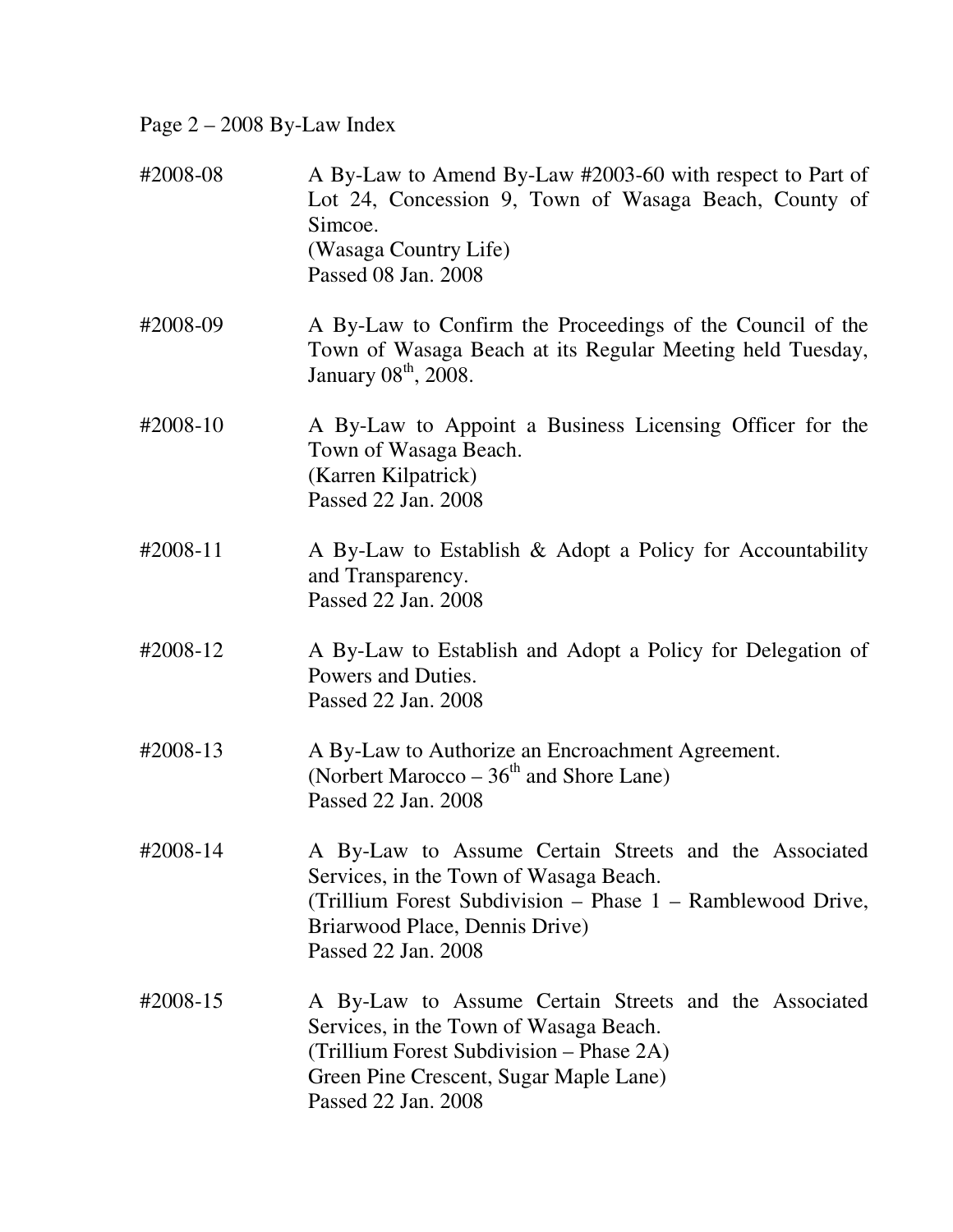## Page 2 – 2008 By-Law Index

| #2008-08           | A By-Law to Amend By-Law #2003-60 with respect to Part of<br>Lot 24, Concession 9, Town of Wasaga Beach, County of<br>Simcoe.<br>(Wasaga Country Life)<br>Passed 08 Jan. 2008                                          |
|--------------------|------------------------------------------------------------------------------------------------------------------------------------------------------------------------------------------------------------------------|
| #2008-09           | A By-Law to Confirm the Proceedings of the Council of the<br>Town of Wasaga Beach at its Regular Meeting held Tuesday,<br>January 08 <sup>th</sup> , 2008.                                                             |
| #2008-10           | A By-Law to Appoint a Business Licensing Officer for the<br>Town of Wasaga Beach.<br>(Karren Kilpatrick)<br>Passed 22 Jan. 2008                                                                                        |
| $\text{\#}2008-11$ | A By-Law to Establish & Adopt a Policy for Accountability<br>and Transparency.<br>Passed 22 Jan. 2008                                                                                                                  |
| #2008-12           | A By-Law to Establish and Adopt a Policy for Delegation of<br>Powers and Duties.<br>Passed 22 Jan. 2008                                                                                                                |
| #2008-13           | A By-Law to Authorize an Encroachment Agreement.<br>(Norbert Marocco $-36th$ and Shore Lane)<br>Passed 22 Jan. 2008                                                                                                    |
| #2008-14           | A By-Law to Assume Certain Streets and the Associated<br>Services, in the Town of Wasaga Beach.<br>(Trillium Forest Subdivision – Phase 1 – Ramblewood Drive,<br>Briarwood Place, Dennis Drive)<br>Passed 22 Jan. 2008 |
| #2008-15           | A By-Law to Assume Certain Streets and the Associated<br>Services, in the Town of Wasaga Beach.<br>(Trillium Forest Subdivision – Phase 2A)<br>Green Pine Crescent, Sugar Maple Lane)<br>Passed 22 Jan. 2008           |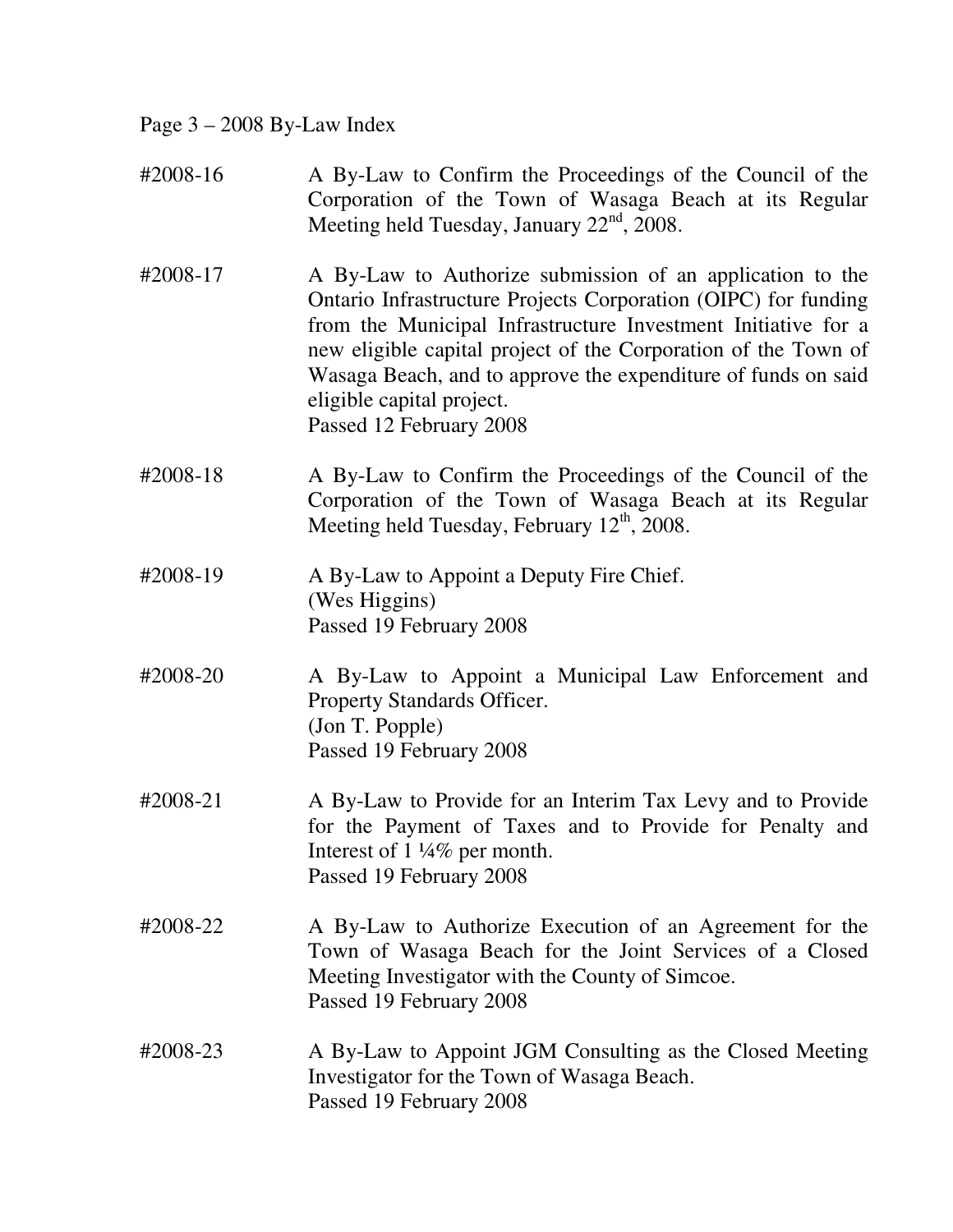Page 3 – 2008 By-Law Index

- #2008-16 A By-Law to Confirm the Proceedings of the Council of the Corporation of the Town of Wasaga Beach at its Regular Meeting held Tuesday, January  $22<sup>nd</sup>$ , 2008.
- #2008-17 A By-Law to Authorize submission of an application to the Ontario Infrastructure Projects Corporation (OIPC) for funding from the Municipal Infrastructure Investment Initiative for a new eligible capital project of the Corporation of the Town of Wasaga Beach, and to approve the expenditure of funds on said eligible capital project. Passed 12 February 2008
- #2008-18 A By-Law to Confirm the Proceedings of the Council of the Corporation of the Town of Wasaga Beach at its Regular Meeting held Tuesday, February  $12<sup>th</sup>$ , 2008.
- #2008-19 A By-Law to Appoint a Deputy Fire Chief. (Wes Higgins) Passed 19 February 2008
- #2008-20 A By-Law to Appoint a Municipal Law Enforcement and Property Standards Officer. (Jon T. Popple) Passed 19 February 2008
- #2008-21 A By-Law to Provide for an Interim Tax Levy and to Provide for the Payment of Taxes and to Provide for Penalty and Interest of 1 ¼% per month. Passed 19 February 2008
- #2008-22 A By-Law to Authorize Execution of an Agreement for the Town of Wasaga Beach for the Joint Services of a Closed Meeting Investigator with the County of Simcoe. Passed 19 February 2008
- #2008-23 A By-Law to Appoint JGM Consulting as the Closed Meeting Investigator for the Town of Wasaga Beach. Passed 19 February 2008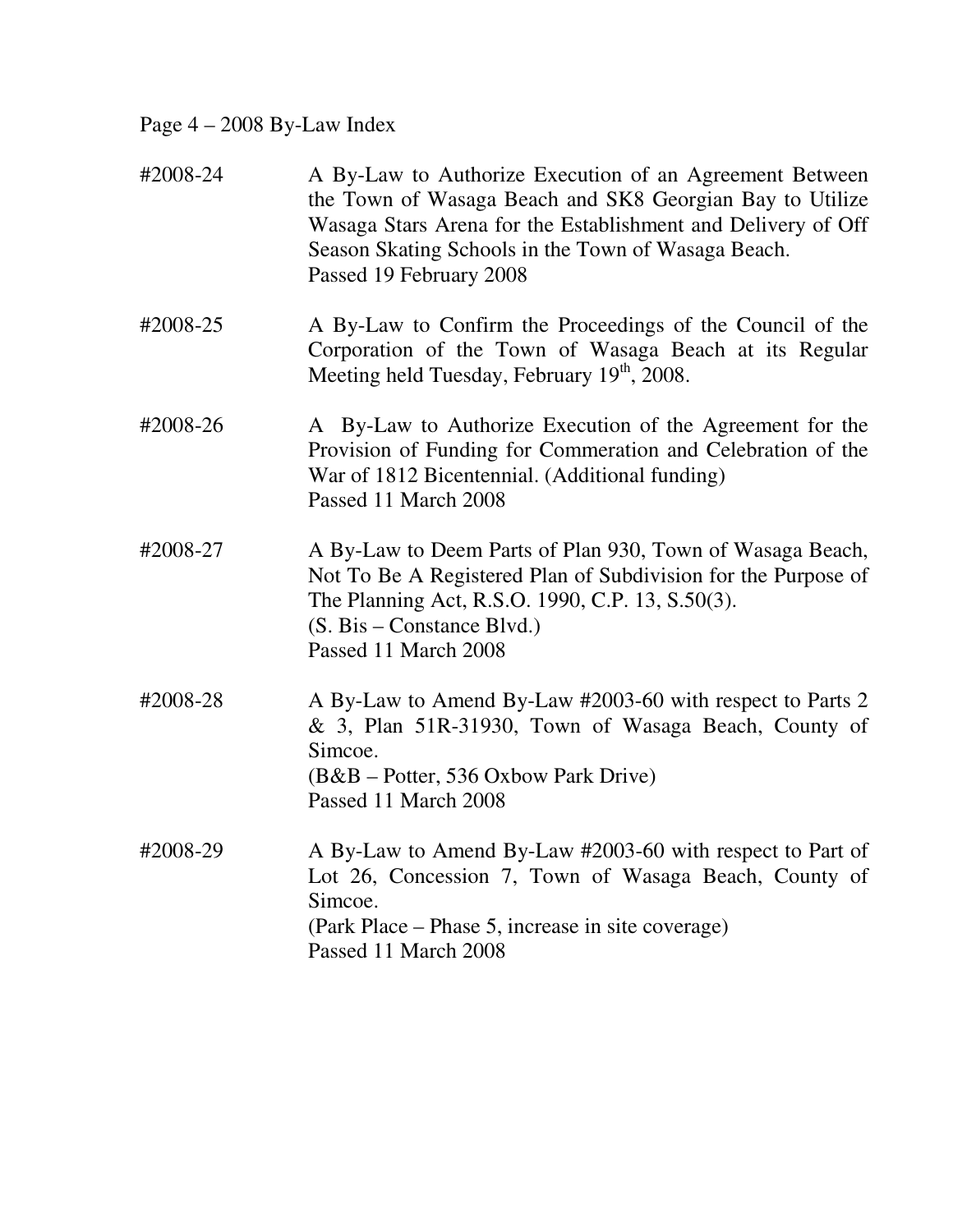Page 4 – 2008 By-Law Index

| #2008-24 | A By-Law to Authorize Execution of an Agreement Between<br>the Town of Wasaga Beach and SK8 Georgian Bay to Utilize<br>Wasaga Stars Arena for the Establishment and Delivery of Off<br>Season Skating Schools in the Town of Wasaga Beach.<br>Passed 19 February 2008 |
|----------|-----------------------------------------------------------------------------------------------------------------------------------------------------------------------------------------------------------------------------------------------------------------------|
| #2008-25 | A By-Law to Confirm the Proceedings of the Council of the<br>Corporation of the Town of Wasaga Beach at its Regular<br>Meeting held Tuesday, February 19 <sup>th</sup> , 2008.                                                                                        |
| #2008-26 | A By-Law to Authorize Execution of the Agreement for the<br>Provision of Funding for Commeration and Celebration of the<br>War of 1812 Bicentennial. (Additional funding)<br>Passed 11 March 2008                                                                     |
| #2008-27 | A By-Law to Deem Parts of Plan 930, Town of Wasaga Beach,<br>Not To Be A Registered Plan of Subdivision for the Purpose of<br>The Planning Act, R.S.O. 1990, C.P. 13, S.50(3).<br>$(S. Bis - Constance Blvd.)$<br>Passed 11 March 2008                                |
| #2008-28 | A By-Law to Amend By-Law #2003-60 with respect to Parts 2<br>& 3, Plan 51R-31930, Town of Wasaga Beach, County of<br>Simcoe.<br>(B&B – Potter, 536 Oxbow Park Drive)<br>Passed 11 March 2008                                                                          |
| #2008-29 | A By-Law to Amend By-Law #2003-60 with respect to Part of<br>Lot 26, Concession 7, Town of Wasaga Beach, County of<br>Simcoe.<br>(Park Place – Phase 5, increase in site coverage)<br>Passed 11 March 2008                                                            |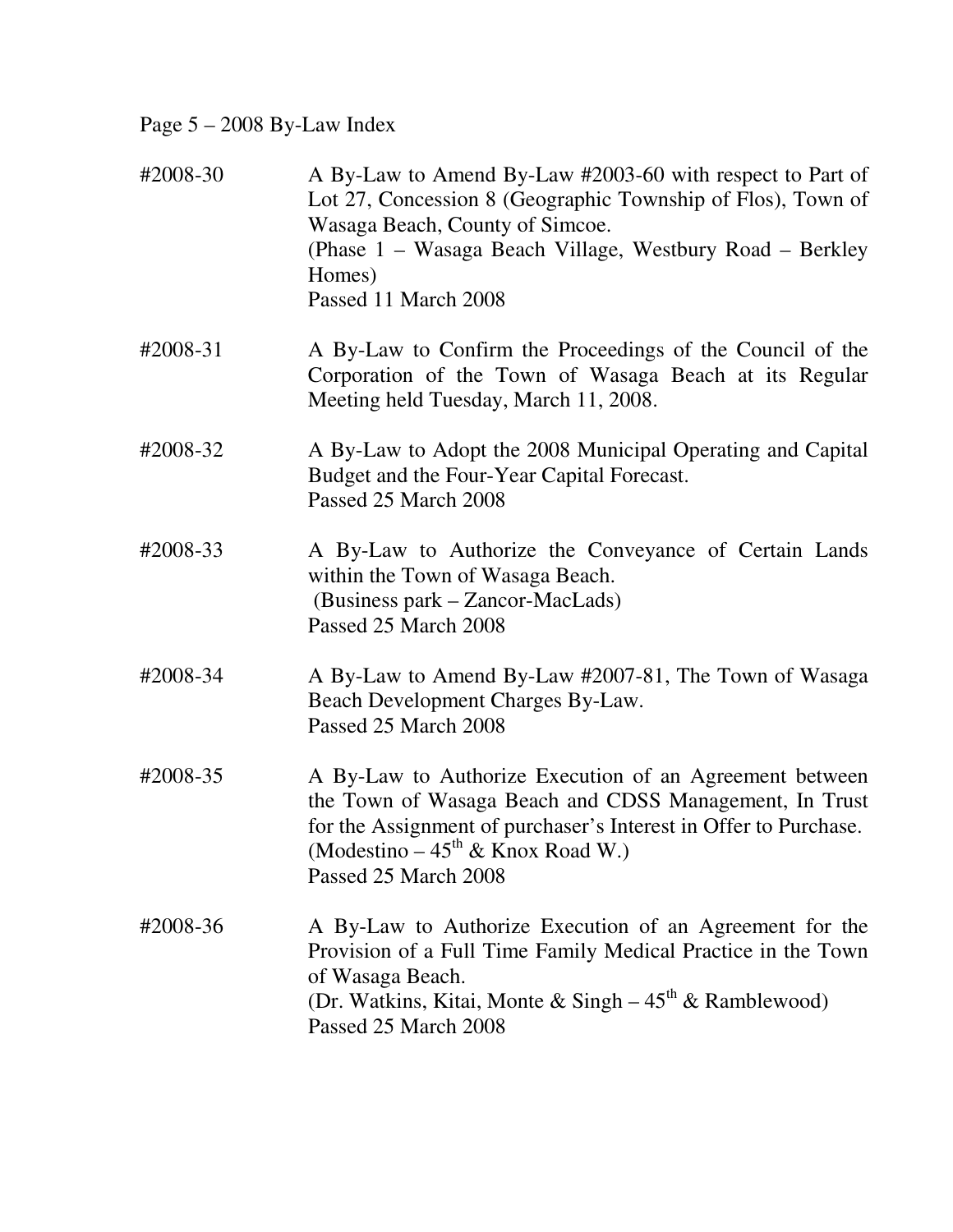## Page 5 – 2008 By-Law Index

| #2008-30 | A By-Law to Amend By-Law #2003-60 with respect to Part of<br>Lot 27, Concession 8 (Geographic Township of Flos), Town of<br>Wasaga Beach, County of Simcoe.<br>(Phase 1 – Wasaga Beach Village, Westbury Road – Berkley<br>Homes)<br>Passed 11 March 2008      |
|----------|----------------------------------------------------------------------------------------------------------------------------------------------------------------------------------------------------------------------------------------------------------------|
| #2008-31 | A By-Law to Confirm the Proceedings of the Council of the<br>Corporation of the Town of Wasaga Beach at its Regular<br>Meeting held Tuesday, March 11, 2008.                                                                                                   |
| #2008-32 | A By-Law to Adopt the 2008 Municipal Operating and Capital<br>Budget and the Four-Year Capital Forecast.<br>Passed 25 March 2008                                                                                                                               |
| #2008-33 | A By-Law to Authorize the Conveyance of Certain Lands<br>within the Town of Wasaga Beach.<br>(Business park – Zancor-MacLads)<br>Passed 25 March 2008                                                                                                          |
| #2008-34 | A By-Law to Amend By-Law #2007-81, The Town of Wasaga<br>Beach Development Charges By-Law.<br>Passed 25 March 2008                                                                                                                                             |
| #2008-35 | A By-Law to Authorize Execution of an Agreement between<br>the Town of Wasaga Beach and CDSS Management, In Trust<br>for the Assignment of purchaser's Interest in Offer to Purchase.<br>(Modestino – $45^{\text{th}}$ & Knox Road W.)<br>Passed 25 March 2008 |
| #2008-36 | A By-Law to Authorize Execution of an Agreement for the<br>Provision of a Full Time Family Medical Practice in the Town<br>of Wasaga Beach.<br>(Dr. Watkins, Kitai, Monte & Singh $-45^{th}$ & Ramblewood)<br>Passed 25 March 2008                             |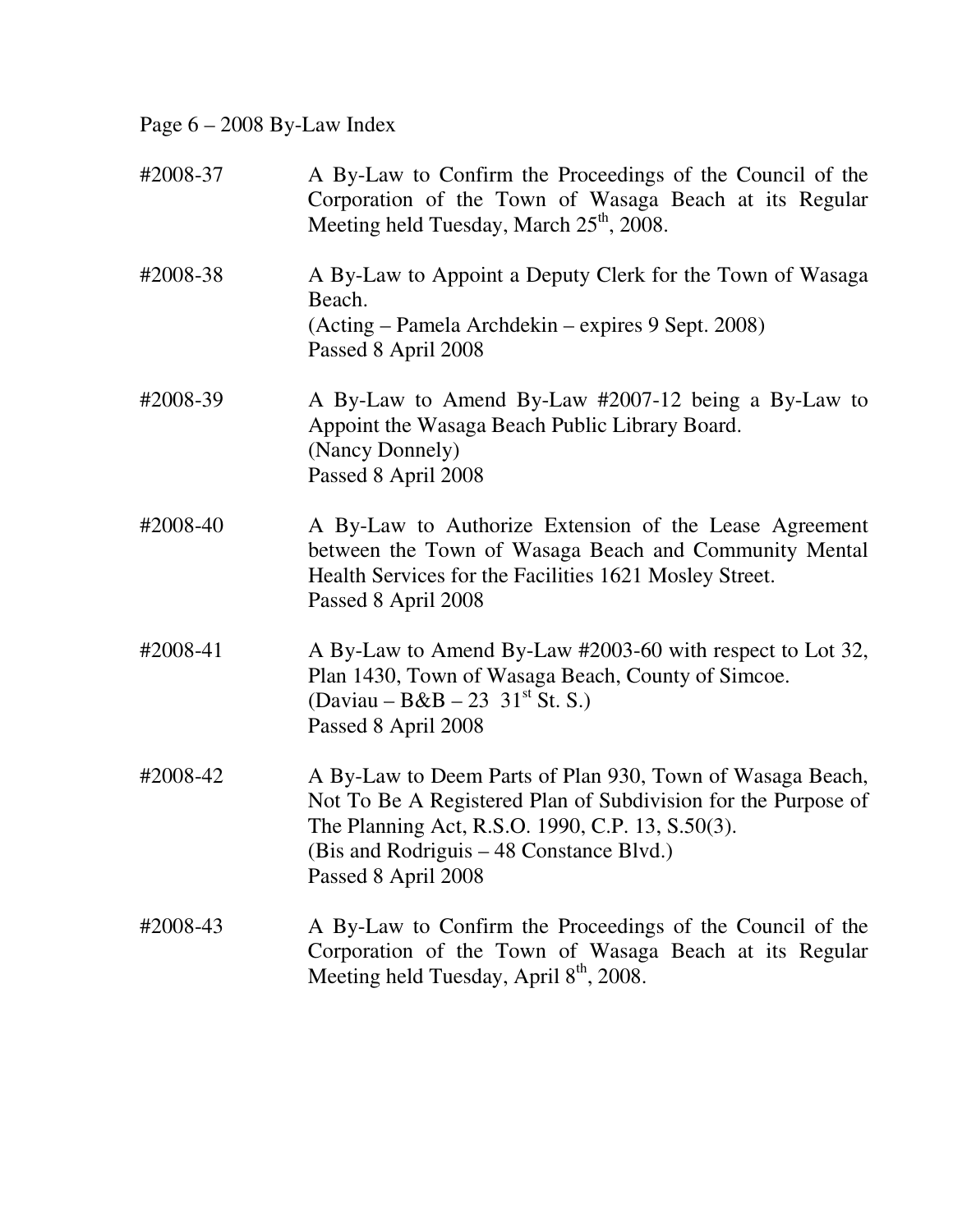Page 6 – 2008 By-Law Index

| #2008-37 | A By-Law to Confirm the Proceedings of the Council of the<br>Corporation of the Town of Wasaga Beach at its Regular<br>Meeting held Tuesday, March 25 <sup>th</sup> , 2008.                                                                       |
|----------|---------------------------------------------------------------------------------------------------------------------------------------------------------------------------------------------------------------------------------------------------|
| #2008-38 | A By-Law to Appoint a Deputy Clerk for the Town of Wasaga<br>Beach.<br>(Acting – Pamela Archdekin – expires 9 Sept. 2008)<br>Passed 8 April 2008                                                                                                  |
| #2008-39 | A By-Law to Amend By-Law #2007-12 being a By-Law to<br>Appoint the Wasaga Beach Public Library Board.<br>(Nancy Donnely)<br>Passed 8 April 2008                                                                                                   |
| #2008-40 | A By-Law to Authorize Extension of the Lease Agreement<br>between the Town of Wasaga Beach and Community Mental<br>Health Services for the Facilities 1621 Mosley Street.<br>Passed 8 April 2008                                                  |
| #2008-41 | A By-Law to Amend By-Law #2003-60 with respect to Lot 32,<br>Plan 1430, Town of Wasaga Beach, County of Simcoe.<br>(Daviau – B&B – 23 31 <sup>st</sup> St. S.)<br>Passed 8 April 2008                                                             |
| #2008-42 | A By-Law to Deem Parts of Plan 930, Town of Wasaga Beach,<br>Not To Be A Registered Plan of Subdivision for the Purpose of<br>The Planning Act, R.S.O. 1990, C.P. 13, S.50(3).<br>(Bis and Rodriguis - 48 Constance Blvd.)<br>Passed 8 April 2008 |
| #2008-43 | A By-Law to Confirm the Proceedings of the Council of the<br>Corporation of the Town of Wasaga Beach at its Regular<br>Meeting held Tuesday, April 8 <sup>th</sup> , 2008.                                                                        |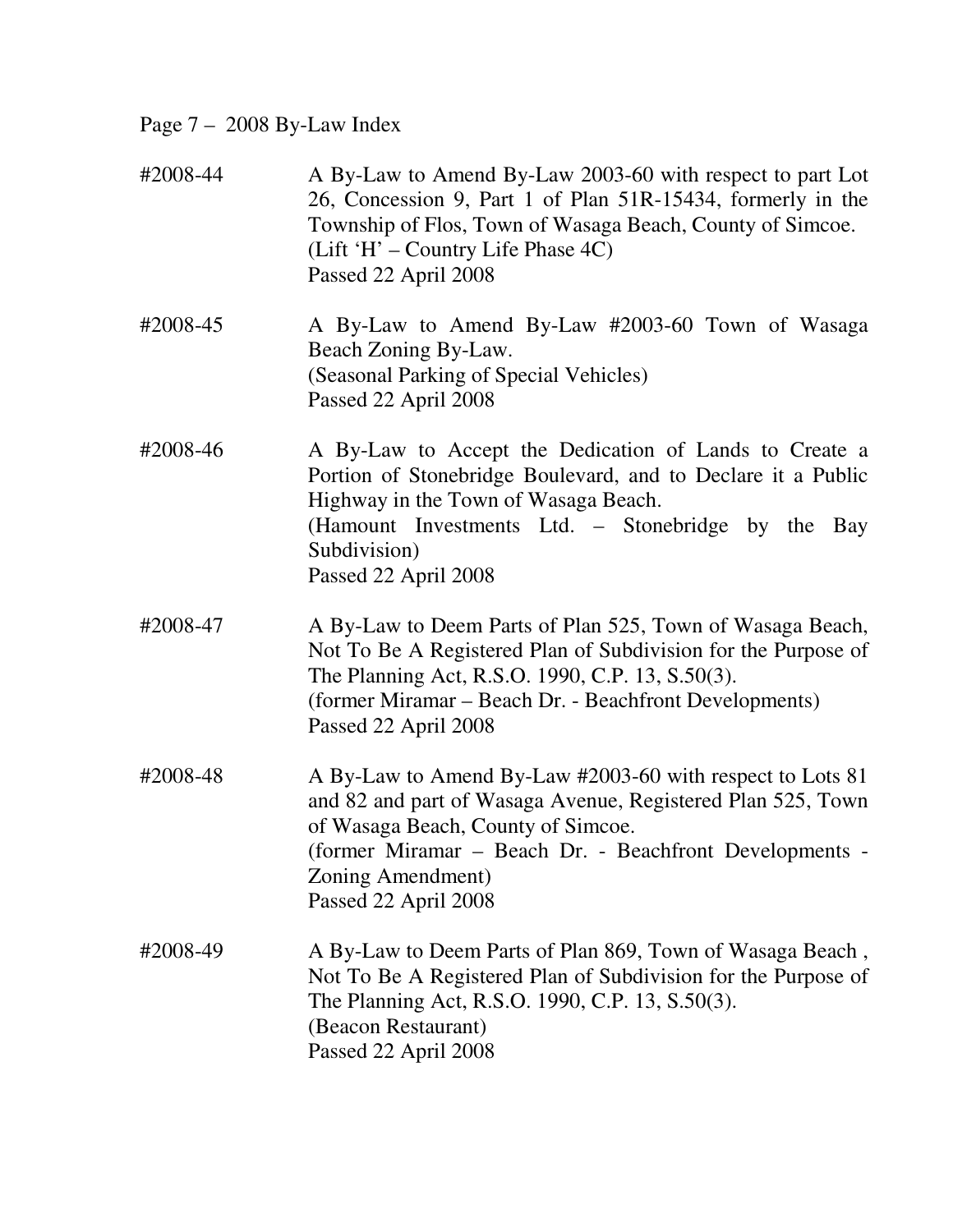## Page 7 – 2008 By-Law Index

| #2008-44 | A By-Law to Amend By-Law 2003-60 with respect to part Lot<br>26, Concession 9, Part 1 of Plan 51R-15434, formerly in the<br>Township of Flos, Town of Wasaga Beach, County of Simcoe.<br>(Lift 'H' – Country Life Phase 4C)<br>Passed 22 April 2008                    |
|----------|------------------------------------------------------------------------------------------------------------------------------------------------------------------------------------------------------------------------------------------------------------------------|
| #2008-45 | A By-Law to Amend By-Law #2003-60 Town of Wasaga<br>Beach Zoning By-Law.<br>(Seasonal Parking of Special Vehicles)<br>Passed 22 April 2008                                                                                                                             |
| #2008-46 | A By-Law to Accept the Dedication of Lands to Create a<br>Portion of Stonebridge Boulevard, and to Declare it a Public<br>Highway in the Town of Wasaga Beach.<br>(Hamount Investments Ltd. – Stonebridge by the Bay<br>Subdivision)<br>Passed 22 April 2008           |
| #2008-47 | A By-Law to Deem Parts of Plan 525, Town of Wasaga Beach,<br>Not To Be A Registered Plan of Subdivision for the Purpose of<br>The Planning Act, R.S.O. 1990, C.P. 13, S.50(3).<br>(former Miramar – Beach Dr. - Beachfront Developments)<br>Passed 22 April 2008       |
| #2008-48 | A By-Law to Amend By-Law #2003-60 with respect to Lots 81<br>and 82 and part of Wasaga Avenue, Registered Plan 525, Town<br>of Wasaga Beach, County of Simcoe.<br>(former Miramar – Beach Dr. - Beachfront Developments -<br>Zoning Amendment)<br>Passed 22 April 2008 |
| #2008-49 | A By-Law to Deem Parts of Plan 869, Town of Wasaga Beach,<br>Not To Be A Registered Plan of Subdivision for the Purpose of<br>The Planning Act, R.S.O. 1990, C.P. 13, S.50(3).<br>(Beacon Restaurant)<br>Passed 22 April 2008                                          |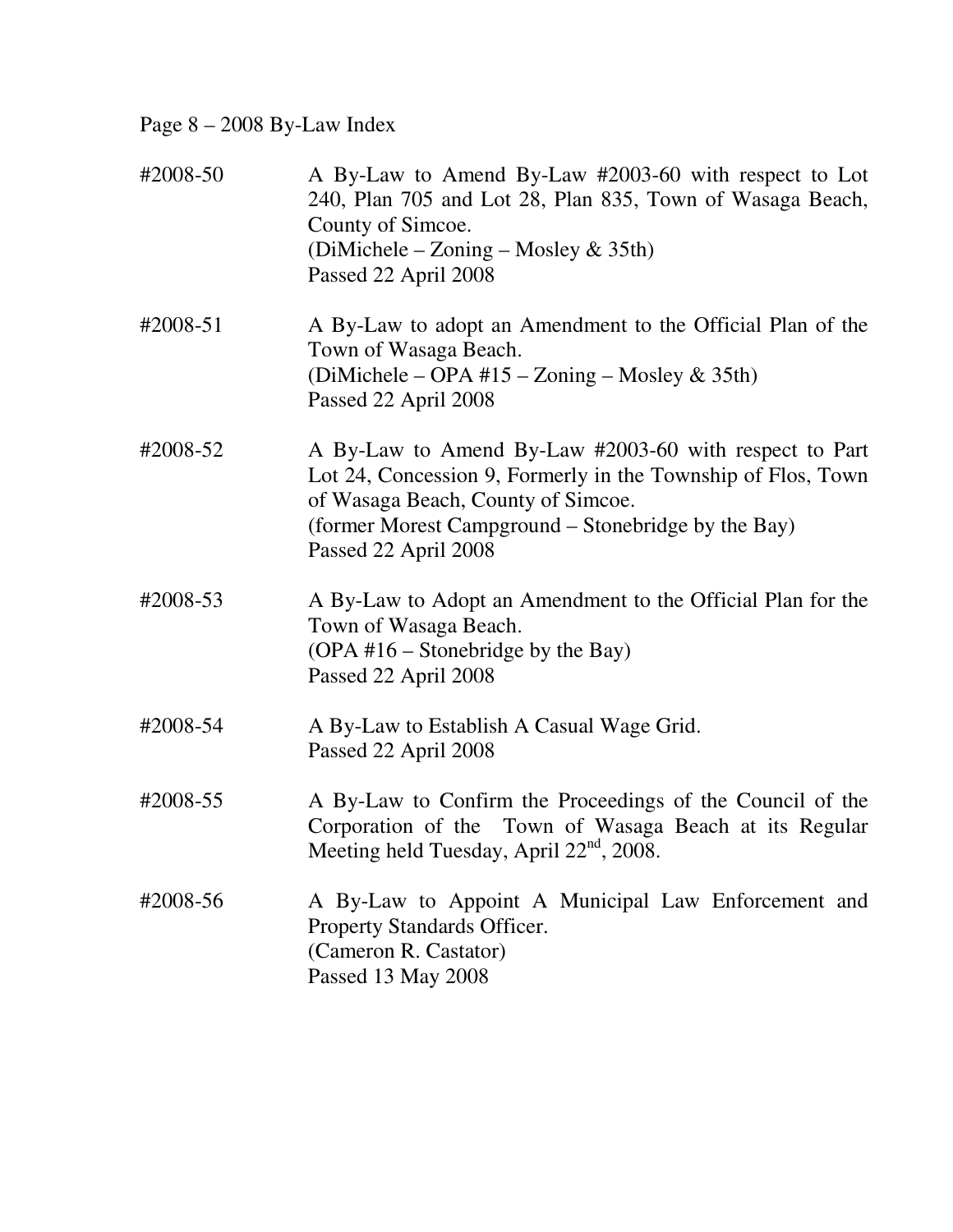Page 8 – 2008 By-Law Index

| #2008-50 | A By-Law to Amend By-Law #2003-60 with respect to Lot<br>240, Plan 705 and Lot 28, Plan 835, Town of Wasaga Beach,<br>County of Simcoe.<br>(DiMichele – Zoning – Mosley & 35th)<br>Passed 22 April 2008                                     |
|----------|---------------------------------------------------------------------------------------------------------------------------------------------------------------------------------------------------------------------------------------------|
| #2008-51 | A By-Law to adopt an Amendment to the Official Plan of the<br>Town of Wasaga Beach.<br>(DiMichele – OPA #15 – Zoning – Mosley & 35th)<br>Passed 22 April 2008                                                                               |
| #2008-52 | A By-Law to Amend By-Law #2003-60 with respect to Part<br>Lot 24, Concession 9, Formerly in the Township of Flos, Town<br>of Wasaga Beach, County of Simcoe.<br>(former Morest Campground – Stonebridge by the Bay)<br>Passed 22 April 2008 |
| #2008-53 | A By-Law to Adopt an Amendment to the Official Plan for the<br>Town of Wasaga Beach.<br>$(OPA #16 - Stonebridge by the Bay)$<br>Passed 22 April 2008                                                                                        |
| #2008-54 | A By-Law to Establish A Casual Wage Grid.<br>Passed 22 April 2008                                                                                                                                                                           |
| #2008-55 | A By-Law to Confirm the Proceedings of the Council of the<br>Corporation of the Town of Wasaga Beach at its Regular<br>Meeting held Tuesday, April $22nd$ , 2008.                                                                           |
| #2008-56 | A By-Law to Appoint A Municipal Law Enforcement and<br>Property Standards Officer.<br>(Cameron R. Castator)<br>Passed 13 May 2008                                                                                                           |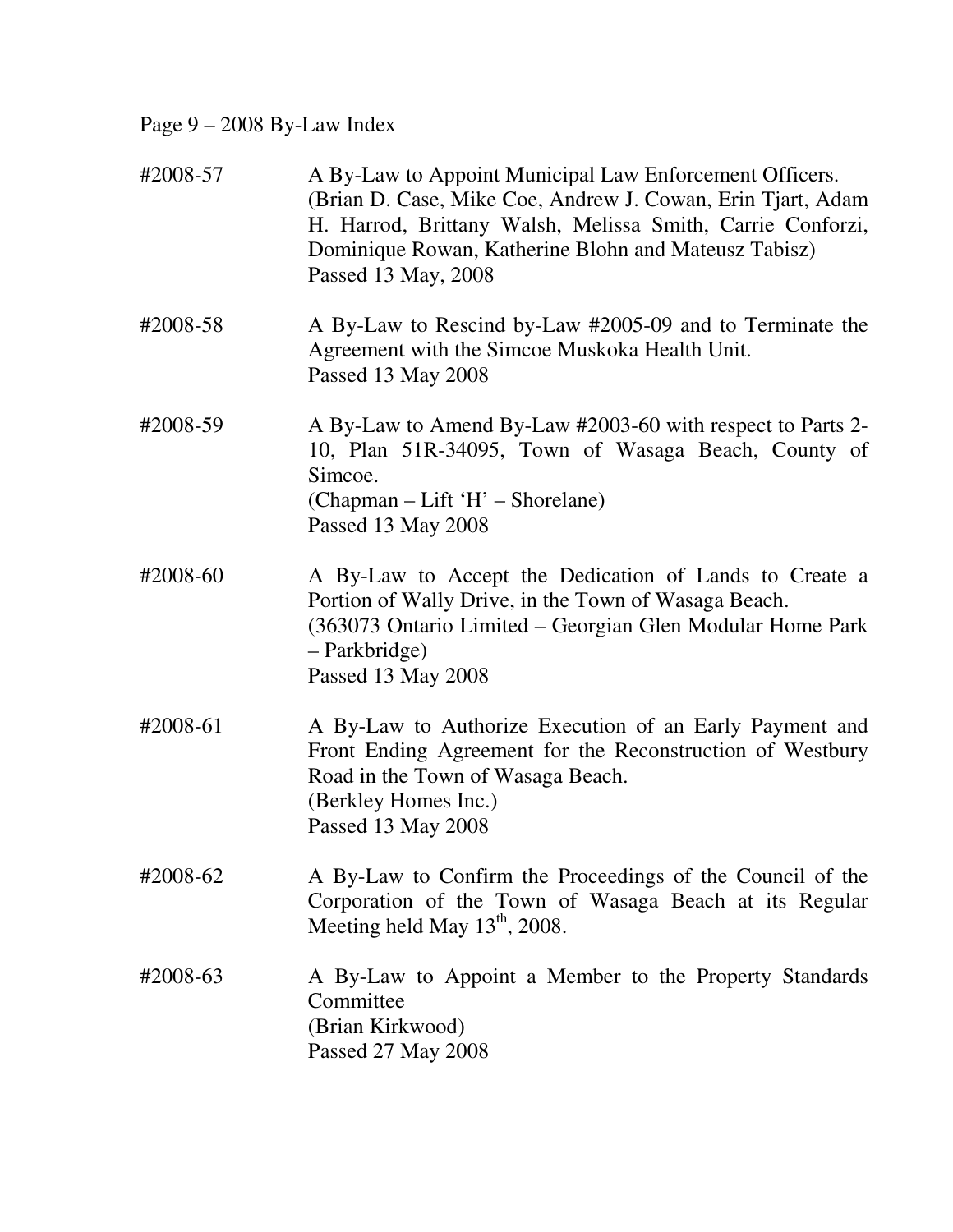# Page 9 – 2008 By-Law Index

| #2008-57 | A By-Law to Appoint Municipal Law Enforcement Officers.<br>(Brian D. Case, Mike Coe, Andrew J. Cowan, Erin Tjart, Adam<br>H. Harrod, Brittany Walsh, Melissa Smith, Carrie Conforzi,<br>Dominique Rowan, Katherine Blohn and Mateusz Tabisz)<br>Passed 13 May, 2008 |
|----------|---------------------------------------------------------------------------------------------------------------------------------------------------------------------------------------------------------------------------------------------------------------------|
| #2008-58 | A By-Law to Rescind by-Law #2005-09 and to Terminate the<br>Agreement with the Simcoe Muskoka Health Unit.<br>Passed 13 May 2008                                                                                                                                    |
| #2008-59 | A By-Law to Amend By-Law #2003-60 with respect to Parts 2-<br>10, Plan 51R-34095, Town of Wasaga Beach, County of<br>Simcoe.<br>(Chapman – Lift 'H' – Shorelane)<br>Passed 13 May 2008                                                                              |
| #2008-60 | A By-Law to Accept the Dedication of Lands to Create a<br>Portion of Wally Drive, in the Town of Wasaga Beach.<br>(363073 Ontario Limited – Georgian Glen Modular Home Park<br>– Parkbridge)<br>Passed 13 May 2008                                                  |
| #2008-61 | A By-Law to Authorize Execution of an Early Payment and<br>Front Ending Agreement for the Reconstruction of Westbury<br>Road in the Town of Wasaga Beach.<br>(Berkley Homes Inc.)<br>Passed 13 May 2008                                                             |
| #2008-62 | A By-Law to Confirm the Proceedings of the Council of the<br>Corporation of the Town of Wasaga Beach at its Regular<br>Meeting held May $13th$ , 2008.                                                                                                              |
| #2008-63 | A By-Law to Appoint a Member to the Property Standards<br>Committee<br>(Brian Kirkwood)<br>Passed 27 May 2008                                                                                                                                                       |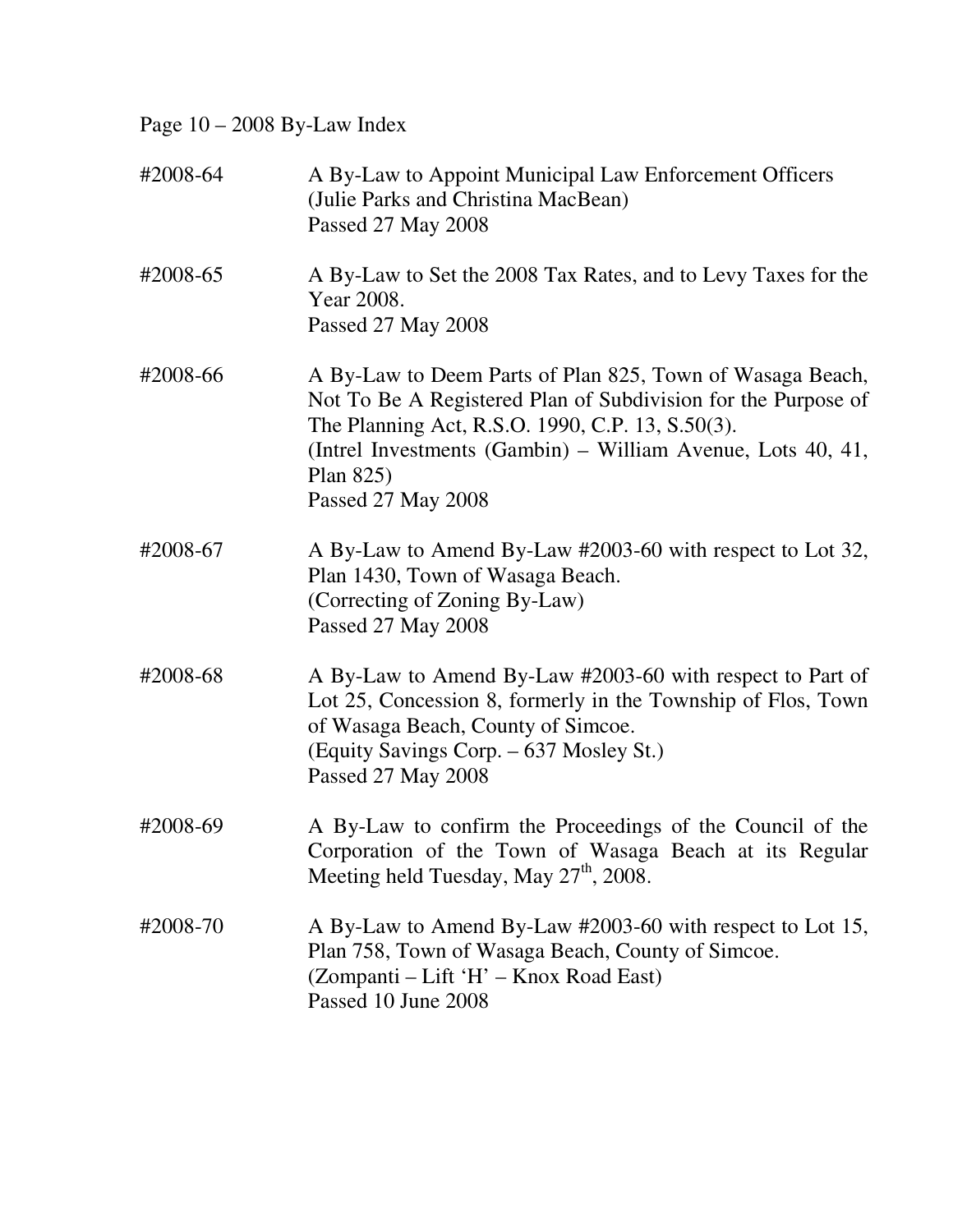Page 10 – 2008 By-Law Index

| #2008-64 | A By-Law to Appoint Municipal Law Enforcement Officers<br>(Julie Parks and Christina MacBean)<br>Passed 27 May 2008                                                                                                                                                                 |
|----------|-------------------------------------------------------------------------------------------------------------------------------------------------------------------------------------------------------------------------------------------------------------------------------------|
| #2008-65 | A By-Law to Set the 2008 Tax Rates, and to Levy Taxes for the<br>Year 2008.<br>Passed 27 May 2008                                                                                                                                                                                   |
| #2008-66 | A By-Law to Deem Parts of Plan 825, Town of Wasaga Beach,<br>Not To Be A Registered Plan of Subdivision for the Purpose of<br>The Planning Act, R.S.O. 1990, C.P. 13, S.50(3).<br>(Intrel Investments (Gambin) – William Avenue, Lots 40, 41,<br>Plan $825$ )<br>Passed 27 May 2008 |
| #2008-67 | A By-Law to Amend By-Law #2003-60 with respect to Lot 32,<br>Plan 1430, Town of Wasaga Beach.<br>(Correcting of Zoning By-Law)<br>Passed 27 May 2008                                                                                                                                |
| #2008-68 | A By-Law to Amend By-Law #2003-60 with respect to Part of<br>Lot 25, Concession 8, formerly in the Township of Flos, Town<br>of Wasaga Beach, County of Simcoe.<br>(Equity Savings Corp. - 637 Mosley St.)<br>Passed 27 May 2008                                                    |
| #2008-69 | A By-Law to confirm the Proceedings of the Council of the<br>Corporation of the Town of Wasaga Beach at its Regular<br>Meeting held Tuesday, May $27th$ , 2008.                                                                                                                     |
| #2008-70 | A By-Law to Amend By-Law #2003-60 with respect to Lot 15,<br>Plan 758, Town of Wasaga Beach, County of Simcoe.<br>(Zompanti – Lift 'H' – Knox Road East)<br>Passed 10 June 2008                                                                                                     |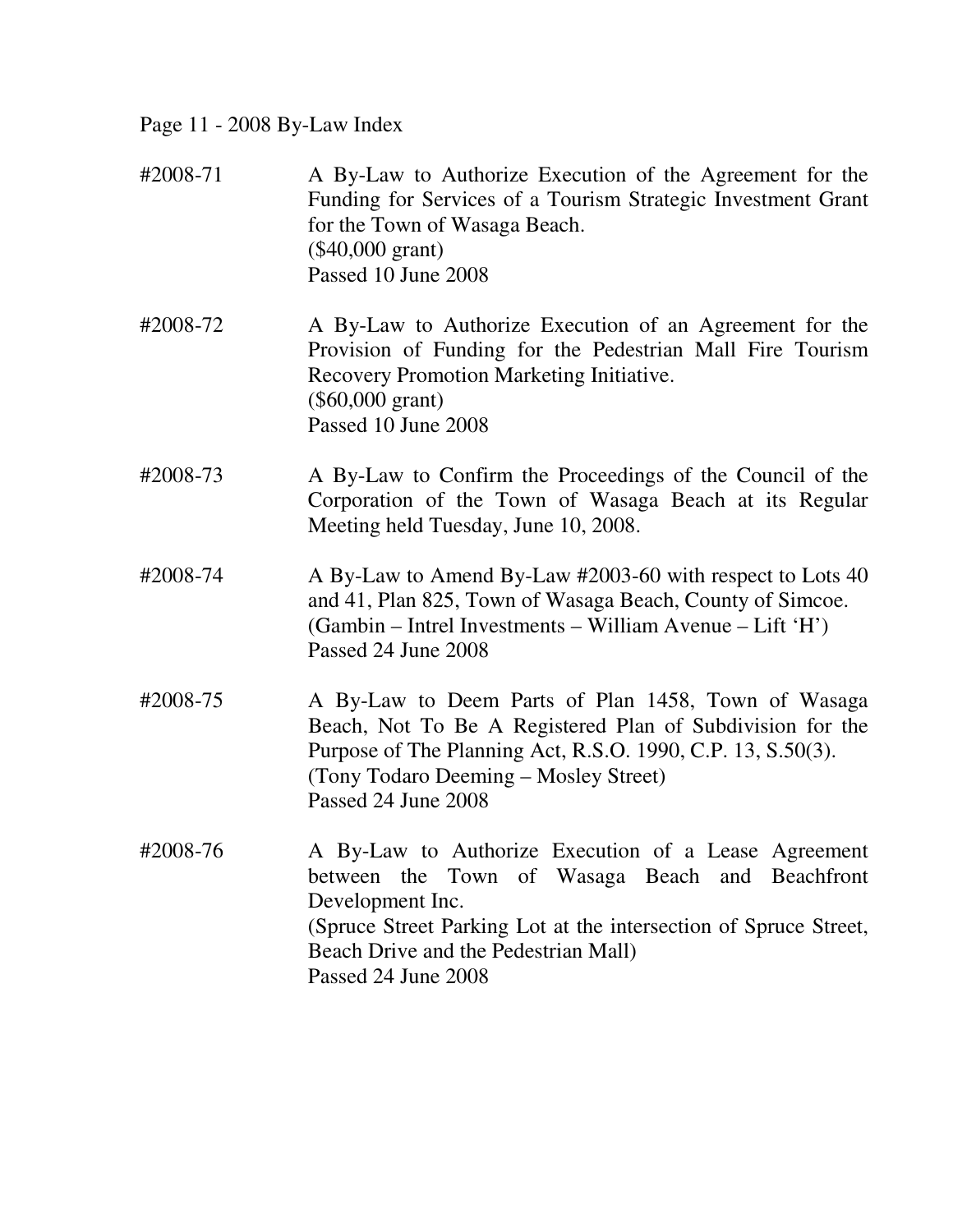Page 11 - 2008 By-Law Index

| #2008-71 | A By-Law to Authorize Execution of the Agreement for the<br>Funding for Services of a Tourism Strategic Investment Grant<br>for the Town of Wasaga Beach.<br>$(\$40,000$ grant)<br>Passed 10 June 2008                                                         |
|----------|----------------------------------------------------------------------------------------------------------------------------------------------------------------------------------------------------------------------------------------------------------------|
| #2008-72 | A By-Law to Authorize Execution of an Agreement for the<br>Provision of Funding for the Pedestrian Mall Fire Tourism<br>Recovery Promotion Marketing Initiative.<br>$(\$60,000 \text{ grant})$<br>Passed 10 June 2008                                          |
| #2008-73 | A By-Law to Confirm the Proceedings of the Council of the<br>Corporation of the Town of Wasaga Beach at its Regular<br>Meeting held Tuesday, June 10, 2008.                                                                                                    |
| #2008-74 | A By-Law to Amend By-Law #2003-60 with respect to Lots 40<br>and 41, Plan 825, Town of Wasaga Beach, County of Simcoe.<br>(Gambin – Intrel Investments – William Avenue – Lift 'H')<br>Passed 24 June 2008                                                     |
| #2008-75 | A By-Law to Deem Parts of Plan 1458, Town of Wasaga<br>Beach, Not To Be A Registered Plan of Subdivision for the<br>Purpose of The Planning Act, R.S.O. 1990, C.P. 13, S.50(3).<br>(Tony Todaro Deeming - Mosley Street)<br>Passed 24 June 2008                |
| #2008-76 | A By-Law to Authorize Execution of a Lease Agreement<br>between the Town of Wasaga Beach and Beachfront<br>Development Inc.<br>(Spruce Street Parking Lot at the intersection of Spruce Street,<br>Beach Drive and the Pedestrian Mall)<br>Passed 24 June 2008 |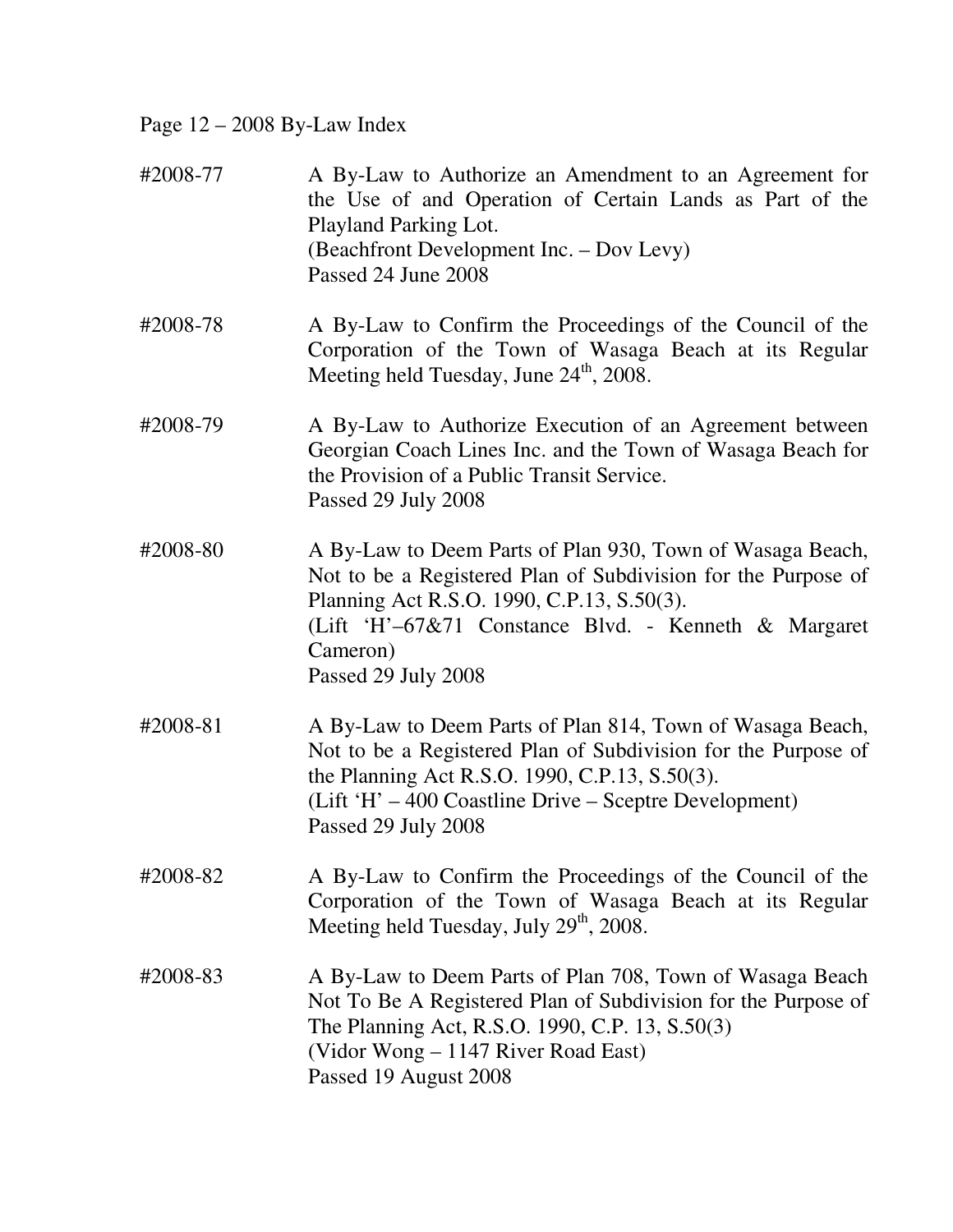Page 12 – 2008 By-Law Index

| #2008-77 | A By-Law to Authorize an Amendment to an Agreement for<br>the Use of and Operation of Certain Lands as Part of the<br>Playland Parking Lot.<br>(Beachfront Development Inc. – Dov Levy)<br>Passed 24 June 2008                                                      |
|----------|---------------------------------------------------------------------------------------------------------------------------------------------------------------------------------------------------------------------------------------------------------------------|
| #2008-78 | A By-Law to Confirm the Proceedings of the Council of the<br>Corporation of the Town of Wasaga Beach at its Regular<br>Meeting held Tuesday, June 24 <sup>th</sup> , 2008.                                                                                          |
| #2008-79 | A By-Law to Authorize Execution of an Agreement between<br>Georgian Coach Lines Inc. and the Town of Wasaga Beach for<br>the Provision of a Public Transit Service.<br>Passed 29 July 2008                                                                          |
| #2008-80 | A By-Law to Deem Parts of Plan 930, Town of Wasaga Beach,<br>Not to be a Registered Plan of Subdivision for the Purpose of<br>Planning Act R.S.O. 1990, C.P.13, S.50(3).<br>(Lift 'H'-67&71 Constance Blvd. - Kenneth & Margaret<br>Cameron)<br>Passed 29 July 2008 |
| #2008-81 | A By-Law to Deem Parts of Plan 814, Town of Wasaga Beach,<br>Not to be a Registered Plan of Subdivision for the Purpose of<br>the Planning Act R.S.O. 1990, C.P.13, S.50(3).<br>(Lift 'H' – 400 Coastline Drive – Sceptre Development)<br>Passed 29 July 2008       |
| #2008-82 | A By-Law to Confirm the Proceedings of the Council of the<br>Corporation of the Town of Wasaga Beach at its Regular<br>Meeting held Tuesday, July 29 <sup>th</sup> , 2008.                                                                                          |
| #2008-83 | A By-Law to Deem Parts of Plan 708, Town of Wasaga Beach<br>Not To Be A Registered Plan of Subdivision for the Purpose of<br>The Planning Act, R.S.O. 1990, C.P. 13, S.50(3)<br>(Vidor Wong - 1147 River Road East)<br>Passed 19 August 2008                        |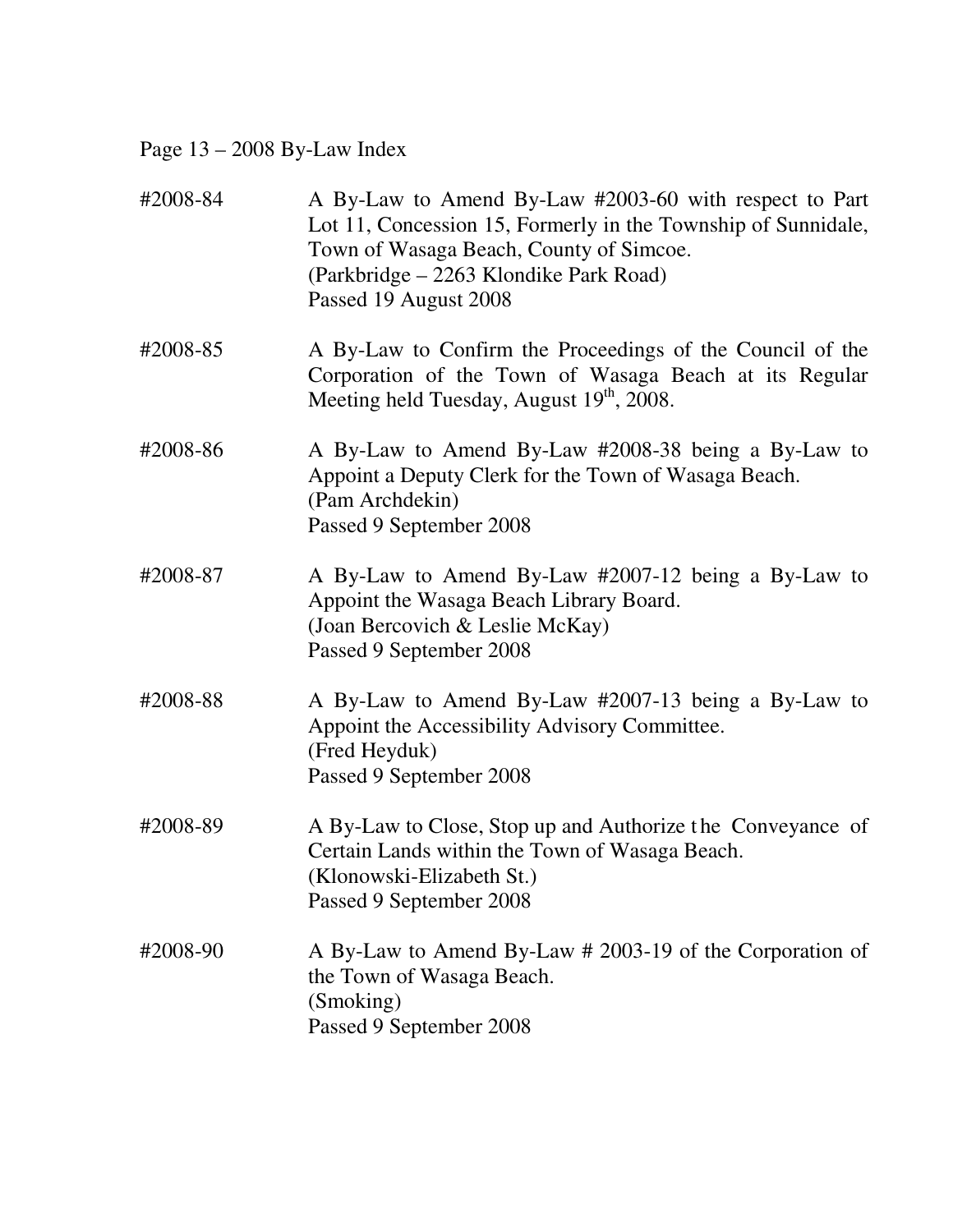Page 13 – 2008 By-Law Index

| #2008-84 | A By-Law to Amend By-Law #2003-60 with respect to Part<br>Lot 11, Concession 15, Formerly in the Township of Sunnidale,<br>Town of Wasaga Beach, County of Simcoe.<br>(Parkbridge - 2263 Klondike Park Road)<br>Passed 19 August 2008 |
|----------|---------------------------------------------------------------------------------------------------------------------------------------------------------------------------------------------------------------------------------------|
| #2008-85 | A By-Law to Confirm the Proceedings of the Council of the<br>Corporation of the Town of Wasaga Beach at its Regular<br>Meeting held Tuesday, August 19th, 2008.                                                                       |
| #2008-86 | A By-Law to Amend By-Law #2008-38 being a By-Law to<br>Appoint a Deputy Clerk for the Town of Wasaga Beach.<br>(Pam Archdekin)<br>Passed 9 September 2008                                                                             |
| #2008-87 | A By-Law to Amend By-Law #2007-12 being a By-Law to<br>Appoint the Wasaga Beach Library Board.<br>(Joan Bercovich & Leslie McKay)<br>Passed 9 September 2008                                                                          |
| #2008-88 | A By-Law to Amend By-Law #2007-13 being a By-Law to<br>Appoint the Accessibility Advisory Committee.<br>(Fred Heyduk)<br>Passed 9 September 2008                                                                                      |
| #2008-89 | A By-Law to Close, Stop up and Authorize the Conveyance of<br>Certain Lands within the Town of Wasaga Beach.<br>(Klonowski-Elizabeth St.)<br>Passed 9 September 2008                                                                  |
| #2008-90 | A By-Law to Amend By-Law # 2003-19 of the Corporation of<br>the Town of Wasaga Beach.<br>(Smoking)<br>Passed 9 September 2008                                                                                                         |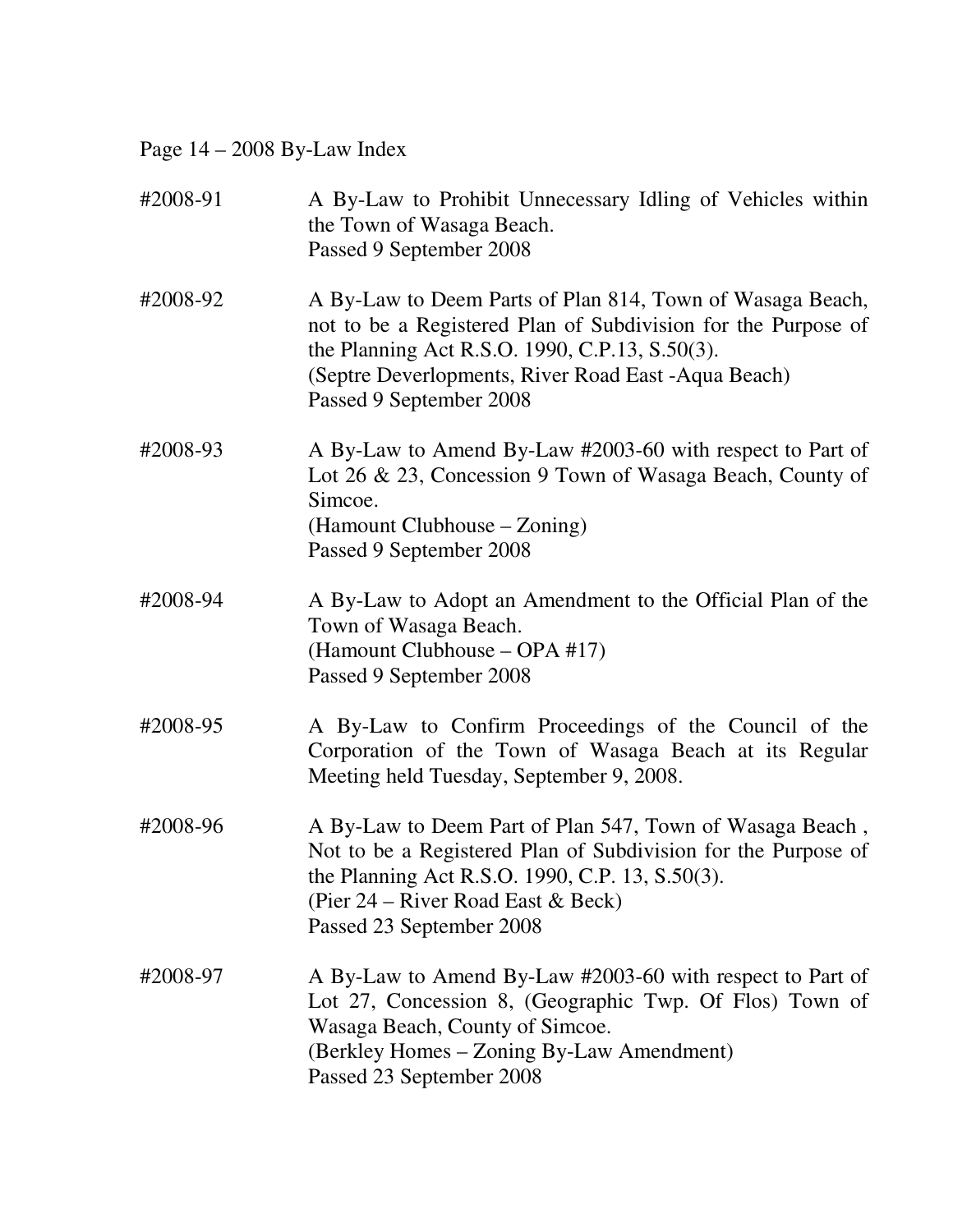Page 14 – 2008 By-Law Index

| #2008-91 | A By-Law to Prohibit Unnecessary Idling of Vehicles within<br>the Town of Wasaga Beach.<br>Passed 9 September 2008                                                                                                                                              |
|----------|-----------------------------------------------------------------------------------------------------------------------------------------------------------------------------------------------------------------------------------------------------------------|
| #2008-92 | A By-Law to Deem Parts of Plan 814, Town of Wasaga Beach,<br>not to be a Registered Plan of Subdivision for the Purpose of<br>the Planning Act R.S.O. 1990, C.P.13, S.50(3).<br>(Septre Deverlopments, River Road East - Aqua Beach)<br>Passed 9 September 2008 |
| #2008-93 | A By-Law to Amend By-Law #2003-60 with respect to Part of<br>Lot 26 & 23, Concession 9 Town of Wasaga Beach, County of<br>Simcoe.<br>(Hamount Clubhouse – Zoning)<br>Passed 9 September 2008                                                                    |
| #2008-94 | A By-Law to Adopt an Amendment to the Official Plan of the<br>Town of Wasaga Beach.<br>(Hamount Clubhouse – OPA #17)<br>Passed 9 September 2008                                                                                                                 |
| #2008-95 | A By-Law to Confirm Proceedings of the Council of the<br>Corporation of the Town of Wasaga Beach at its Regular<br>Meeting held Tuesday, September 9, 2008.                                                                                                     |
| #2008-96 | A By-Law to Deem Part of Plan 547, Town of Wasaga Beach,<br>Not to be a Registered Plan of Subdivision for the Purpose of<br>the Planning Act R.S.O. 1990, C.P. 13, S.50(3).<br>(Pier 24 – River Road East $& Beck$ )<br>Passed 23 September 2008               |
| #2008-97 | A By-Law to Amend By-Law #2003-60 with respect to Part of<br>Lot 27, Concession 8, (Geographic Twp. Of Flos) Town of<br>Wasaga Beach, County of Simcoe.<br>(Berkley Homes – Zoning By-Law Amendment)<br>Passed 23 September 2008                                |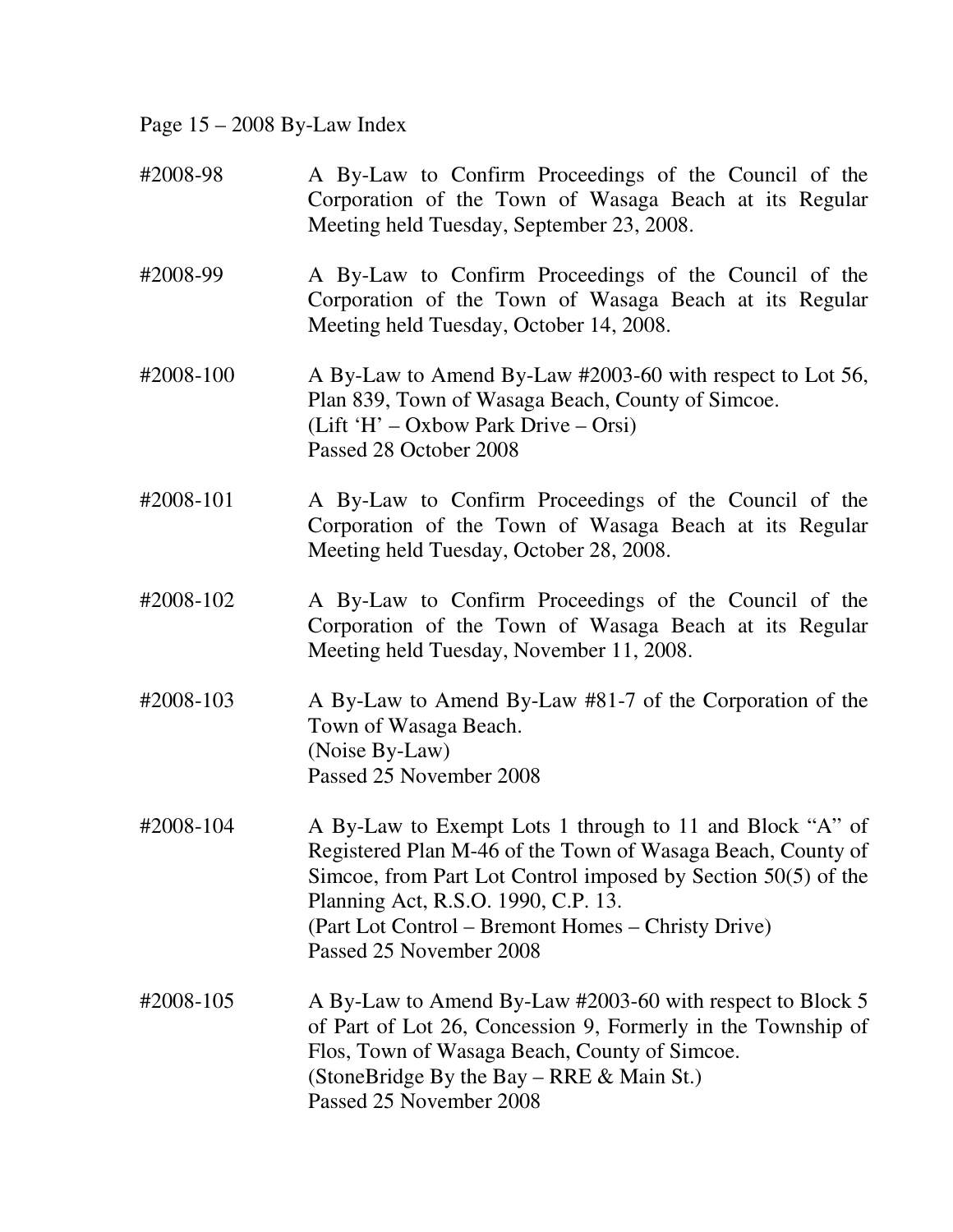Page 15 – 2008 By-Law Index

| #2008-98  | A By-Law to Confirm Proceedings of the Council of the<br>Corporation of the Town of Wasaga Beach at its Regular<br>Meeting held Tuesday, September 23, 2008.                                                                                                                                                     |
|-----------|------------------------------------------------------------------------------------------------------------------------------------------------------------------------------------------------------------------------------------------------------------------------------------------------------------------|
| #2008-99  | A By-Law to Confirm Proceedings of the Council of the<br>Corporation of the Town of Wasaga Beach at its Regular<br>Meeting held Tuesday, October 14, 2008.                                                                                                                                                       |
| #2008-100 | A By-Law to Amend By-Law #2003-60 with respect to Lot 56,<br>Plan 839, Town of Wasaga Beach, County of Simcoe.<br>(Lift 'H' – Oxbow Park Drive – Orsi)<br>Passed 28 October 2008                                                                                                                                 |
| #2008-101 | A By-Law to Confirm Proceedings of the Council of the<br>Corporation of the Town of Wasaga Beach at its Regular<br>Meeting held Tuesday, October 28, 2008.                                                                                                                                                       |
| #2008-102 | A By-Law to Confirm Proceedings of the Council of the<br>Corporation of the Town of Wasaga Beach at its Regular<br>Meeting held Tuesday, November 11, 2008.                                                                                                                                                      |
| #2008-103 | A By-Law to Amend By-Law #81-7 of the Corporation of the<br>Town of Wasaga Beach.<br>(Noise By-Law)<br>Passed 25 November 2008                                                                                                                                                                                   |
| #2008-104 | A By-Law to Exempt Lots 1 through to 11 and Block "A" of<br>Registered Plan M-46 of the Town of Wasaga Beach, County of<br>Simcoe, from Part Lot Control imposed by Section 50(5) of the<br>Planning Act, R.S.O. 1990, C.P. 13.<br>(Part Lot Control – Bremont Homes – Christy Drive)<br>Passed 25 November 2008 |
| #2008-105 | A By-Law to Amend By-Law #2003-60 with respect to Block 5<br>of Part of Lot 26, Concession 9, Formerly in the Township of<br>Flos, Town of Wasaga Beach, County of Simcoe.<br>(StoneBridge By the Bay – RRE & Main St.)<br>Passed 25 November 2008                                                               |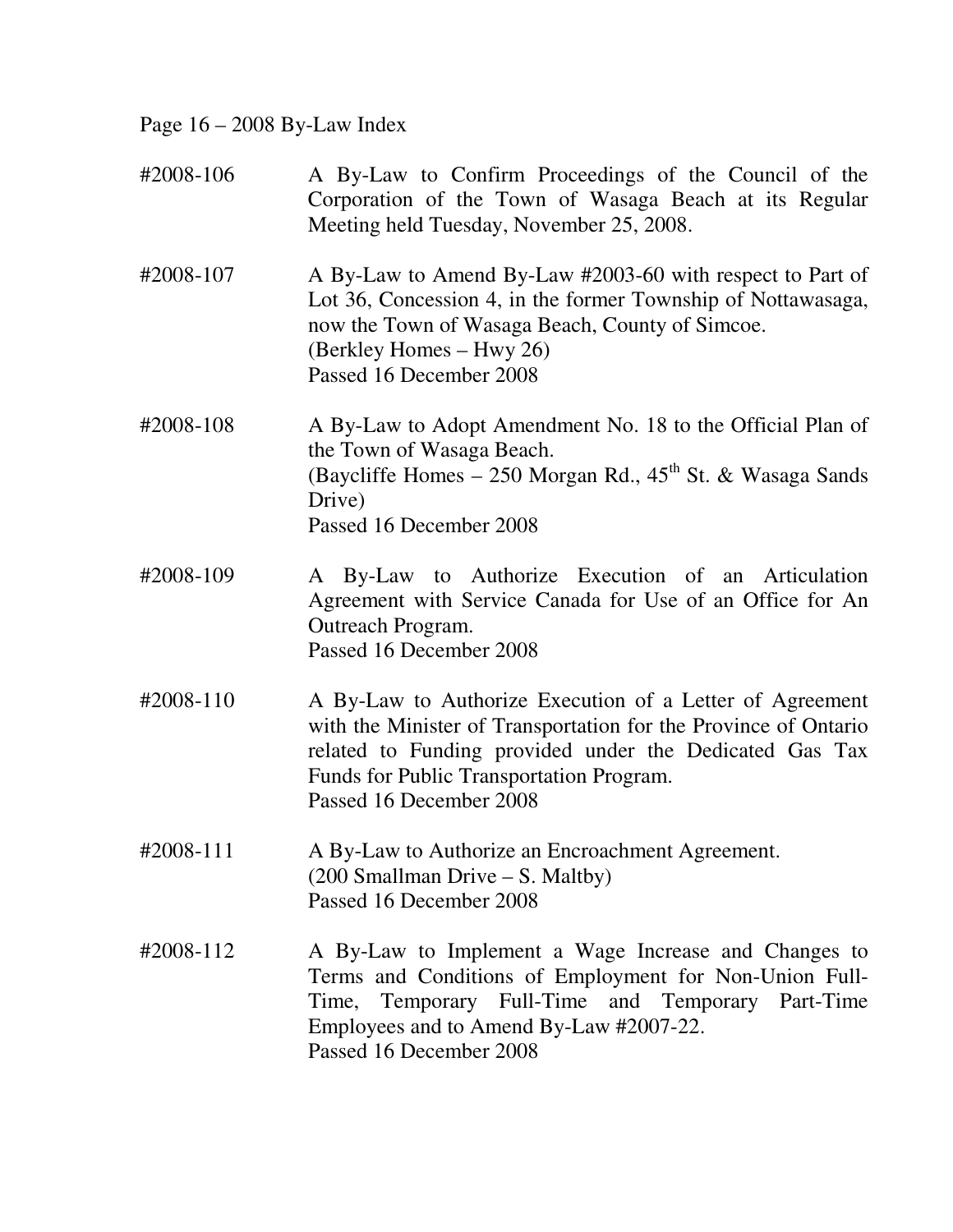Page 16 – 2008 By-Law Index

| #2008-106 | A By-Law to Confirm Proceedings of the Council of the<br>Corporation of the Town of Wasaga Beach at its Regular<br>Meeting held Tuesday, November 25, 2008.                                                                                                   |
|-----------|---------------------------------------------------------------------------------------------------------------------------------------------------------------------------------------------------------------------------------------------------------------|
| #2008-107 | A By-Law to Amend By-Law #2003-60 with respect to Part of<br>Lot 36, Concession 4, in the former Township of Nottawasaga,<br>now the Town of Wasaga Beach, County of Simcoe.<br>(Berkley Homes – Hwy 26)<br>Passed 16 December 2008                           |
| #2008-108 | A By-Law to Adopt Amendment No. 18 to the Official Plan of<br>the Town of Wasaga Beach.<br>(Baycliffe Homes $-250$ Morgan Rd., $45th$ St. & Wasaga Sands<br>Drive)<br>Passed 16 December 2008                                                                 |
| #2008-109 | A By-Law to Authorize Execution of an Articulation<br>Agreement with Service Canada for Use of an Office for An<br>Outreach Program.<br>Passed 16 December 2008                                                                                               |
| #2008-110 | A By-Law to Authorize Execution of a Letter of Agreement<br>with the Minister of Transportation for the Province of Ontario<br>related to Funding provided under the Dedicated Gas Tax<br>Funds for Public Transportation Program.<br>Passed 16 December 2008 |
| #2008-111 | A By-Law to Authorize an Encroachment Agreement.<br>$(200 \text{ Smallman Drive} - S. \text{Maltby})$<br>Passed 16 December 2008                                                                                                                              |
| #2008-112 | A By-Law to Implement a Wage Increase and Changes to<br>Terms and Conditions of Employment for Non-Union Full-<br>Temporary Full-Time and Temporary Part-Time<br>Time,<br>Employees and to Amend By-Law #2007-22.<br>Passed 16 December 2008                  |